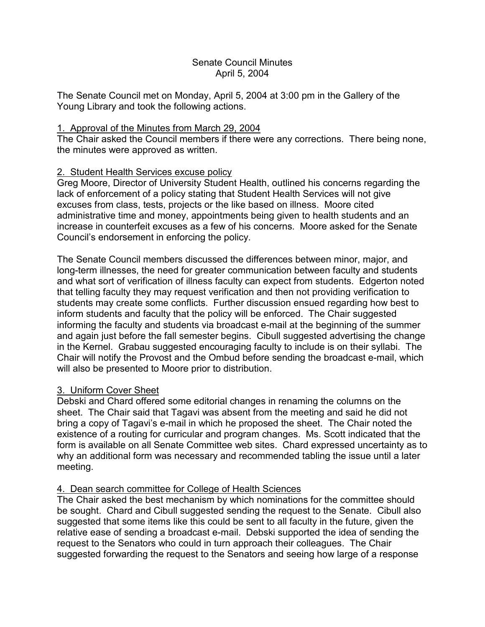## Senate Council Minutes April 5, 2004

The Senate Council met on Monday, April 5, 2004 at 3:00 pm in the Gallery of the Young Library and took the following actions.

## 1. Approval of the Minutes from March 29, 2004

The Chair asked the Council members if there were any corrections. There being none, the minutes were approved as written.

# 2. Student Health Services excuse policy

Greg Moore, Director of University Student Health, outlined his concerns regarding the lack of enforcement of a policy stating that Student Health Services will not give excuses from class, tests, projects or the like based on illness. Moore cited administrative time and money, appointments being given to health students and an increase in counterfeit excuses as a few of his concerns. Moore asked for the Senate Council's endorsement in enforcing the policy.

The Senate Council members discussed the differences between minor, major, and long-term illnesses, the need for greater communication between faculty and students and what sort of verification of illness faculty can expect from students. Edgerton noted that telling faculty they may request verification and then not providing verification to students may create some conflicts. Further discussion ensued regarding how best to inform students and faculty that the policy will be enforced. The Chair suggested informing the faculty and students via broadcast e-mail at the beginning of the summer and again just before the fall semester begins. Cibull suggested advertising the change in the Kernel. Grabau suggested encouraging faculty to include is on their syllabi. The Chair will notify the Provost and the Ombud before sending the broadcast e-mail, which will also be presented to Moore prior to distribution.

# 3. Uniform Cover Sheet

Debski and Chard offered some editorial changes in renaming the columns on the sheet. The Chair said that Tagavi was absent from the meeting and said he did not bring a copy of Tagavi's e-mail in which he proposed the sheet. The Chair noted the existence of a routing for curricular and program changes. Ms. Scott indicated that the form is available on all Senate Committee web sites. Chard expressed uncertainty as to why an additional form was necessary and recommended tabling the issue until a later meeting.

# 4. Dean search committee for College of Health Sciences

The Chair asked the best mechanism by which nominations for the committee should be sought. Chard and Cibull suggested sending the request to the Senate. Cibull also suggested that some items like this could be sent to all faculty in the future, given the relative ease of sending a broadcast e-mail. Debski supported the idea of sending the request to the Senators who could in turn approach their colleagues. The Chair suggested forwarding the request to the Senators and seeing how large of a response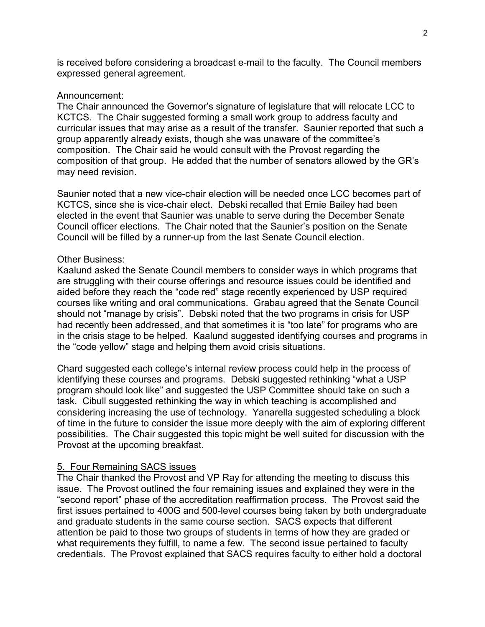is received before considering a broadcast e-mail to the faculty. The Council members expressed general agreement.

#### Announcement:

The Chair announced the Governor's signature of legislature that will relocate LCC to KCTCS. The Chair suggested forming a small work group to address faculty and curricular issues that may arise as a result of the transfer. Saunier reported that such a group apparently already exists, though she was unaware of the committee's composition. The Chair said he would consult with the Provost regarding the composition of that group. He added that the number of senators allowed by the GR's may need revision.

Saunier noted that a new vice-chair election will be needed once LCC becomes part of KCTCS, since she is vice-chair elect. Debski recalled that Ernie Bailey had been elected in the event that Saunier was unable to serve during the December Senate Council officer elections. The Chair noted that the Saunier's position on the Senate Council will be filled by a runner-up from the last Senate Council election.

#### Other Business:

Kaalund asked the Senate Council members to consider ways in which programs that are struggling with their course offerings and resource issues could be identified and aided before they reach the "code red" stage recently experienced by USP required courses like writing and oral communications. Grabau agreed that the Senate Council should not "manage by crisis". Debski noted that the two programs in crisis for USP had recently been addressed, and that sometimes it is "too late" for programs who are in the crisis stage to be helped. Kaalund suggested identifying courses and programs in the "code yellow" stage and helping them avoid crisis situations.

Chard suggested each college's internal review process could help in the process of identifying these courses and programs. Debski suggested rethinking "what a USP program should look like" and suggested the USP Committee should take on such a task. Cibull suggested rethinking the way in which teaching is accomplished and considering increasing the use of technology. Yanarella suggested scheduling a block of time in the future to consider the issue more deeply with the aim of exploring different possibilities. The Chair suggested this topic might be well suited for discussion with the Provost at the upcoming breakfast.

## 5. Four Remaining SACS issues

The Chair thanked the Provost and VP Ray for attending the meeting to discuss this issue. The Provost outlined the four remaining issues and explained they were in the "second report" phase of the accreditation reaffirmation process. The Provost said the first issues pertained to 400G and 500-level courses being taken by both undergraduate and graduate students in the same course section. SACS expects that different attention be paid to those two groups of students in terms of how they are graded or what requirements they fulfill, to name a few. The second issue pertained to faculty credentials. The Provost explained that SACS requires faculty to either hold a doctoral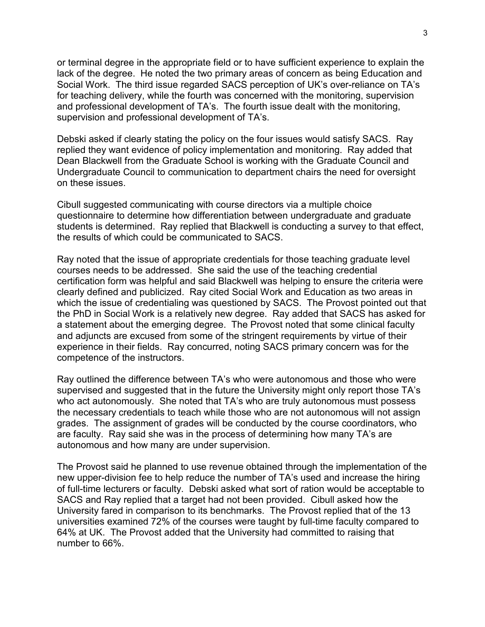or terminal degree in the appropriate field or to have sufficient experience to explain the lack of the degree. He noted the two primary areas of concern as being Education and Social Work. The third issue regarded SACS perception of UK's over-reliance on TA's for teaching delivery, while the fourth was concerned with the monitoring, supervision and professional development of TA's. The fourth issue dealt with the monitoring, supervision and professional development of TA's.

Debski asked if clearly stating the policy on the four issues would satisfy SACS. Ray replied they want evidence of policy implementation and monitoring. Ray added that Dean Blackwell from the Graduate School is working with the Graduate Council and Undergraduate Council to communication to department chairs the need for oversight on these issues.

Cibull suggested communicating with course directors via a multiple choice questionnaire to determine how differentiation between undergraduate and graduate students is determined. Ray replied that Blackwell is conducting a survey to that effect, the results of which could be communicated to SACS.

Ray noted that the issue of appropriate credentials for those teaching graduate level courses needs to be addressed. She said the use of the teaching credential certification form was helpful and said Blackwell was helping to ensure the criteria were clearly defined and publicized. Ray cited Social Work and Education as two areas in which the issue of credentialing was questioned by SACS. The Provost pointed out that the PhD in Social Work is a relatively new degree. Ray added that SACS has asked for a statement about the emerging degree. The Provost noted that some clinical faculty and adjuncts are excused from some of the stringent requirements by virtue of their experience in their fields. Ray concurred, noting SACS primary concern was for the competence of the instructors.

Ray outlined the difference between TA's who were autonomous and those who were supervised and suggested that in the future the University might only report those TA's who act autonomously. She noted that TA's who are truly autonomous must possess the necessary credentials to teach while those who are not autonomous will not assign grades. The assignment of grades will be conducted by the course coordinators, who are faculty. Ray said she was in the process of determining how many TA's are autonomous and how many are under supervision.

The Provost said he planned to use revenue obtained through the implementation of the new upper-division fee to help reduce the number of TA's used and increase the hiring of full-time lecturers or faculty. Debski asked what sort of ration would be acceptable to SACS and Ray replied that a target had not been provided. Cibull asked how the University fared in comparison to its benchmarks. The Provost replied that of the 13 universities examined 72% of the courses were taught by full-time faculty compared to 64% at UK. The Provost added that the University had committed to raising that number to 66%.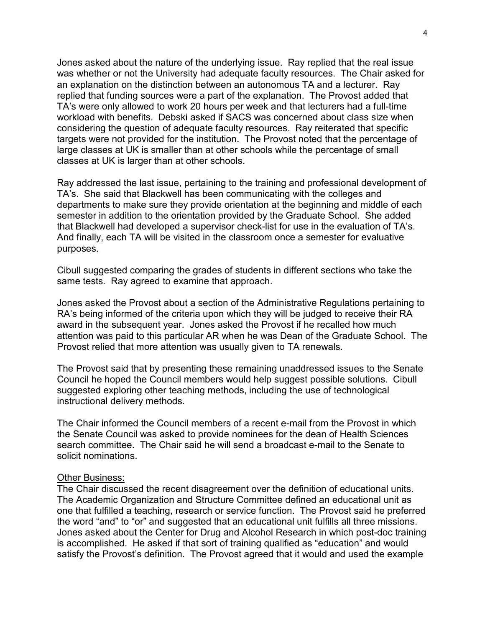Jones asked about the nature of the underlying issue. Ray replied that the real issue was whether or not the University had adequate faculty resources. The Chair asked for an explanation on the distinction between an autonomous TA and a lecturer. Ray replied that funding sources were a part of the explanation. The Provost added that TA's were only allowed to work 20 hours per week and that lecturers had a full-time workload with benefits. Debski asked if SACS was concerned about class size when considering the question of adequate faculty resources. Ray reiterated that specific targets were not provided for the institution. The Provost noted that the percentage of large classes at UK is smaller than at other schools while the percentage of small classes at UK is larger than at other schools.

Ray addressed the last issue, pertaining to the training and professional development of TA's. She said that Blackwell has been communicating with the colleges and departments to make sure they provide orientation at the beginning and middle of each semester in addition to the orientation provided by the Graduate School. She added that Blackwell had developed a supervisor check-list for use in the evaluation of TA's. And finally, each TA will be visited in the classroom once a semester for evaluative purposes.

Cibull suggested comparing the grades of students in different sections who take the same tests. Ray agreed to examine that approach.

Jones asked the Provost about a section of the Administrative Regulations pertaining to RA's being informed of the criteria upon which they will be judged to receive their RA award in the subsequent year. Jones asked the Provost if he recalled how much attention was paid to this particular AR when he was Dean of the Graduate School. The Provost relied that more attention was usually given to TA renewals.

The Provost said that by presenting these remaining unaddressed issues to the Senate Council he hoped the Council members would help suggest possible solutions. Cibull suggested exploring other teaching methods, including the use of technological instructional delivery methods.

The Chair informed the Council members of a recent e-mail from the Provost in which the Senate Council was asked to provide nominees for the dean of Health Sciences search committee. The Chair said he will send a broadcast e-mail to the Senate to solicit nominations.

#### Other Business:

The Chair discussed the recent disagreement over the definition of educational units. The Academic Organization and Structure Committee defined an educational unit as one that fulfilled a teaching, research or service function. The Provost said he preferred the word "and" to "or" and suggested that an educational unit fulfills all three missions. Jones asked about the Center for Drug and Alcohol Research in which post-doc training is accomplished. He asked if that sort of training qualified as "education" and would satisfy the Provost's definition. The Provost agreed that it would and used the example